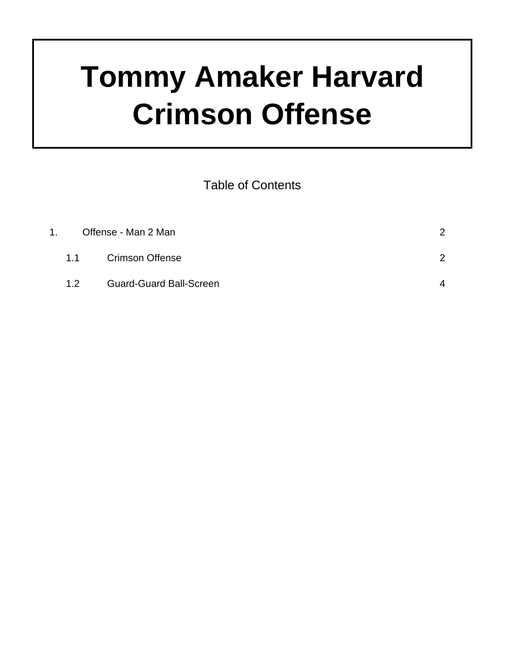## **Tommy Amaker Harvard Crimson Offense**

Table of Contents

| 1. | Offense - Man 2 Man |                                | $\mathcal{P}$ |
|----|---------------------|--------------------------------|---------------|
|    |                     | 1.1 Crimson Offense            |               |
|    | 1.2 <sub>1</sub>    | <b>Guard-Guard Ball-Screen</b> | $\mathbf 4$   |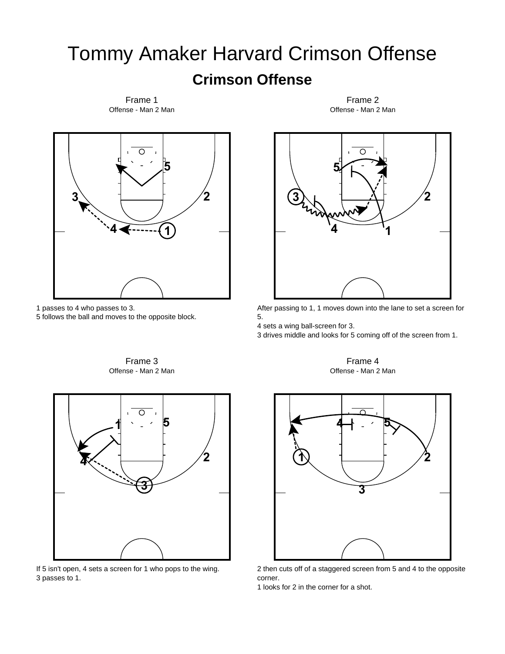## Tommy Amaker Harvard Crimson Offense **Crimson Offense**

 $\cap$ **5 3 2 4 1**

Offense - Man 2 Man Frame 1

1 passes to 4 who passes to 3.

5 follows the ball and moves to the opposite block.

Offense - Man 2 Man





If 5 isn't open, 4 sets a screen for 1 who pops to the wing. 3 passes to 1.

⌒ **5**  $3\lambda$   $\lambda$   $\lambda$   $\lambda$ **4 1**

Offense - Man 2 Man Frame 2

After passing to 1, 1 moves down into the lane to set a screen for 5.

4 sets a wing ball-screen for 3.

3 drives middle and looks for 5 coming off of the screen from 1.

Offense - Man 2 Man Frame 4



2 then cuts off of a staggered screen from 5 and 4 to the opposite corner.

1 looks for 2 in the corner for a shot.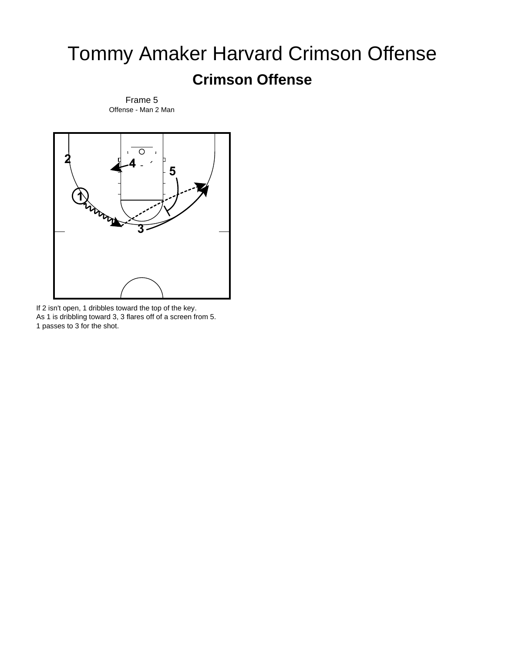## Tommy Amaker Harvard Crimson Offense **Crimson Offense**



Offense - Man 2 Man Frame 5

If 2 isn't open, 1 dribbles toward the top of the key. As 1 is dribbling toward 3, 3 flares off of a screen from 5. 1 passes to 3 for the shot.